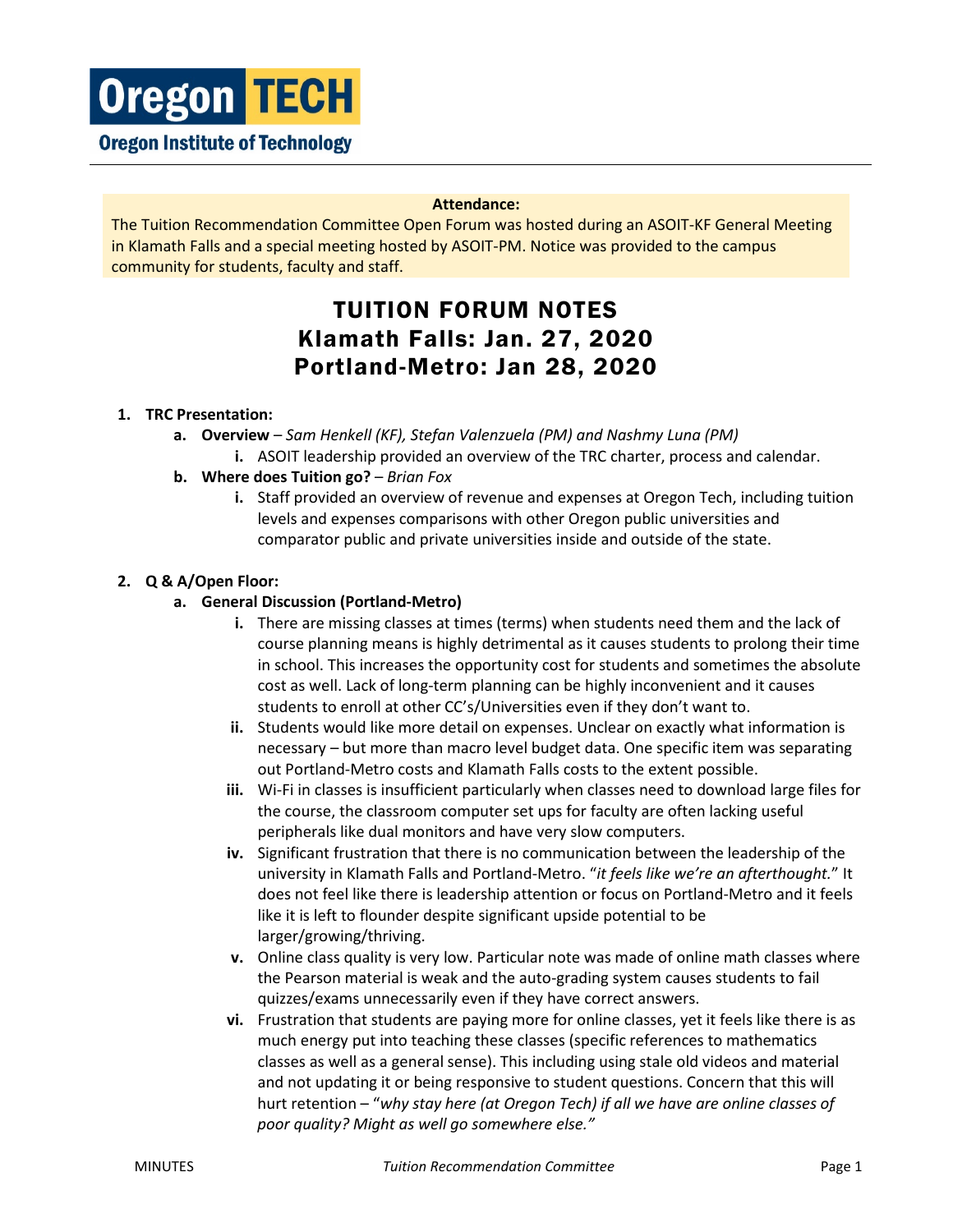#### **Attendance:**

The Tuition Recommendation Committee Open Forum was hosted during an ASOIT-KF General Meeting in Klamath Falls and a special meeting hosted by ASOIT-PM. Notice was provided to the campus community for students, faculty and staff.

# TUITION FORUM NOTES Klamath Falls: Jan. 27, 2020 Portland-Metro: Jan 28, 2020

### **1. TRC Presentation:**

- **a. Overview** *Sam Henkell (KF), Stefan Valenzuela (PM) and Nashmy Luna (PM)* **i.** ASOIT leadership provided an overview of the TRC charter, process and calendar.
- **b.** Where does Tuition go? *Brian Fox* 
	- **i.** Staff provided an overview of revenue and expenses at Oregon Tech, including tuition levels and expenses comparisons with other Oregon public universities and comparator public and private universities inside and outside of the state.

### **2. Q & A/Open Floor:**

### **a. General Discussion (Portland-Metro)**

- **i.** There are missing classes at times (terms) when students need them and the lack of course planning means is highly detrimental as it causes students to prolong their time in school. This increases the opportunity cost for students and sometimes the absolute cost as well. Lack of long-term planning can be highly inconvenient and it causes students to enroll at other CC's/Universities even if they don't want to.
- **ii.** Students would like more detail on expenses. Unclear on exactly what information is necessary – but more than macro level budget data. One specific item was separating out Portland-Metro costs and Klamath Falls costs to the extent possible.
- **iii.** Wi-Fi in classes is insufficient particularly when classes need to download large files for the course, the classroom computer set ups for faculty are often lacking useful peripherals like dual monitors and have very slow computers.
- **iv.** Significant frustration that there is no communication between the leadership of the university in Klamath Falls and Portland-Metro. "*it feels like we're an afterthought.*" It does not feel like there is leadership attention or focus on Portland-Metro and it feels like it is left to flounder despite significant upside potential to be larger/growing/thriving.
- **v.** Online class quality is very low. Particular note was made of online math classes where the Pearson material is weak and the auto-grading system causes students to fail quizzes/exams unnecessarily even if they have correct answers.
- **vi.** Frustration that students are paying more for online classes, yet it feels like there is as much energy put into teaching these classes (specific references to mathematics classes as well as a general sense). This including using stale old videos and material and not updating it or being responsive to student questions. Concern that this will hurt retention – "*why stay here (at Oregon Tech) if all we have are online classes of poor quality? Might as well go somewhere else."*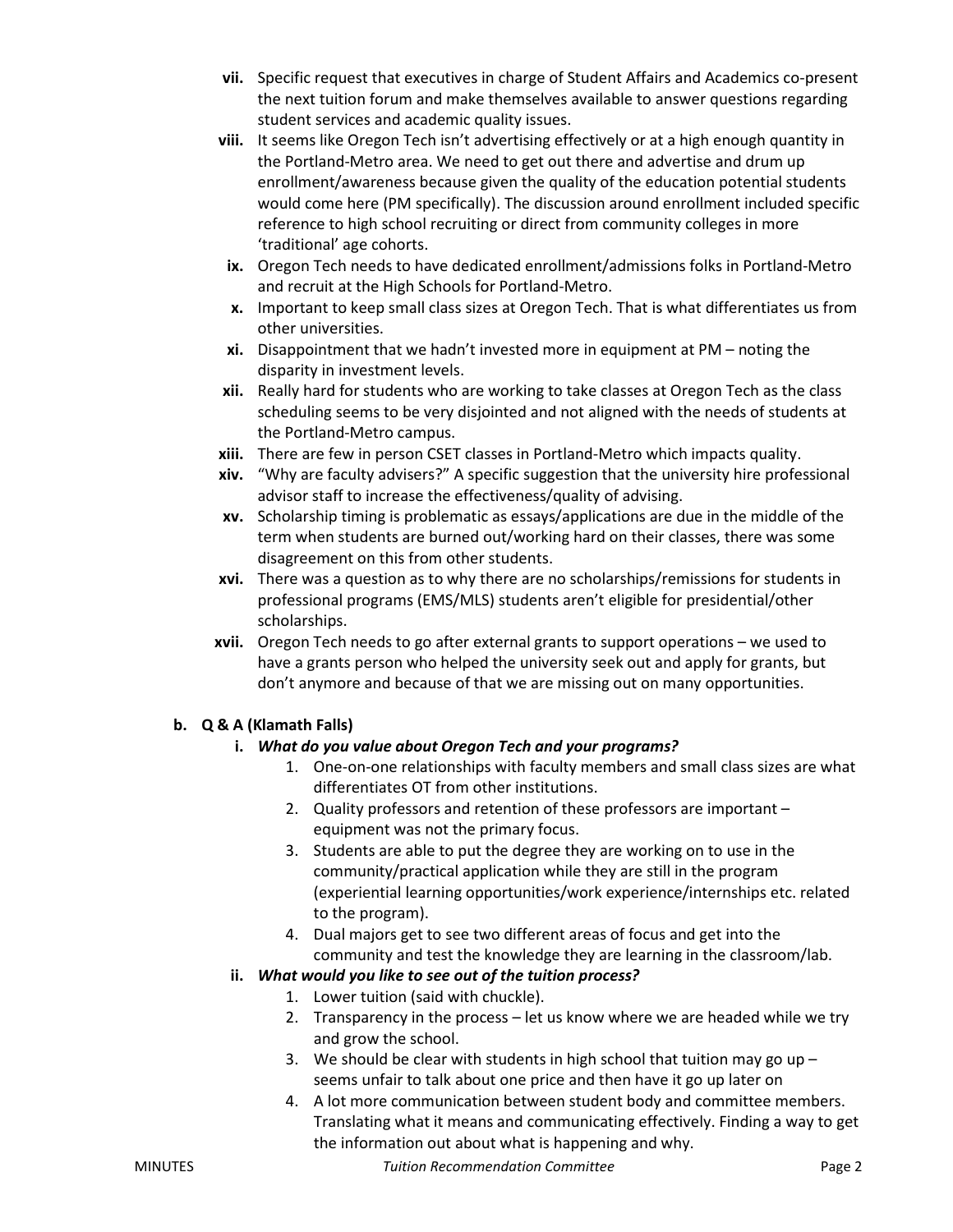- **vii.** Specific request that executives in charge of Student Affairs and Academics co-present the next tuition forum and make themselves available to answer questions regarding student services and academic quality issues.
- **viii.** It seems like Oregon Tech isn't advertising effectively or at a high enough quantity in the Portland-Metro area. We need to get out there and advertise and drum up enrollment/awareness because given the quality of the education potential students would come here (PM specifically). The discussion around enrollment included specific reference to high school recruiting or direct from community colleges in more 'traditional' age cohorts.
- **ix.** Oregon Tech needs to have dedicated enrollment/admissions folks in Portland-Metro and recruit at the High Schools for Portland-Metro.
- **x.** Important to keep small class sizes at Oregon Tech. That is what differentiates us from other universities.
- **xi.** Disappointment that we hadn't invested more in equipment at PM noting the disparity in investment levels.
- **xii.** Really hard for students who are working to take classes at Oregon Tech as the class scheduling seems to be very disjointed and not aligned with the needs of students at the Portland-Metro campus.
- **xiii.** There are few in person CSET classes in Portland-Metro which impacts quality.
- **xiv.** "Why are faculty advisers?" A specific suggestion that the university hire professional advisor staff to increase the effectiveness/quality of advising.
- **xv.** Scholarship timing is problematic as essays/applications are due in the middle of the term when students are burned out/working hard on their classes, there was some disagreement on this from other students.
- **xvi.** There was a question as to why there are no scholarships/remissions for students in professional programs (EMS/MLS) students aren't eligible for presidential/other scholarships.
- **xvii.** Oregon Tech needs to go after external grants to support operations we used to have a grants person who helped the university seek out and apply for grants, but don't anymore and because of that we are missing out on many opportunities.

# **b. Q & A (Klamath Falls)**

# **i.** *What do you value about Oregon Tech and your programs?*

- 1. One-on-one relationships with faculty members and small class sizes are what differentiates OT from other institutions.
- 2. Quality professors and retention of these professors are important equipment was not the primary focus.
- 3. Students are able to put the degree they are working on to use in the community/practical application while they are still in the program (experiential learning opportunities/work experience/internships etc. related to the program).
- 4. Dual majors get to see two different areas of focus and get into the community and test the knowledge they are learning in the classroom/lab.

# **ii.** *What would you like to see out of the tuition process?*

- 1. Lower tuition (said with chuckle).
- 2. Transparency in the process let us know where we are headed while we try and grow the school.
- 3. We should be clear with students in high school that tuition may go up  $$ seems unfair to talk about one price and then have it go up later on
- 4. A lot more communication between student body and committee members. Translating what it means and communicating effectively. Finding a way to get the information out about what is happening and why.